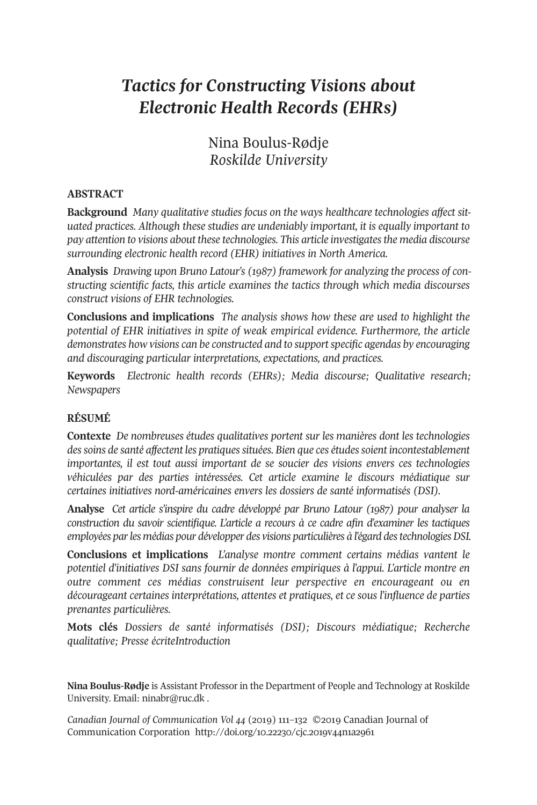# *Tactics for Constructing Visions about Electronic Health Records (EHRs)*

Nina Boulus-Rødje *Roskilde University*

## **ABSTRACT**

**Background** *Many qualitative studies focus on the ways healthcare technologies affect situated practices. Although these studies are undeniably important, it is equally important to pay attention to visions about these technologies. This article investigatesthe media discourse surrounding electronic health record (EHR) initiatives in North America.*

**Analysis** *Drawing upon Bruno Latour's (1987) framework for analyzing the process of constructing scientific facts, this article examines the tactics through which media discourses construct visions of EHR technologies.*

**Conclusions and implications** *The analysis shows how these are used to highlight the potential of EHR initiatives in spite of weak empirical evidence. Furthermore, the article demonstrates how visions can be constructed and to supportspecific agendas by encouraging and discouraging particular interpretations, expectations, and practices.*

**Keywords** *Electronic health records (EHRs); Media discourse; Qualitative research; Newspapers*

# **RÉSUMÉ**

**Contexte** *De nombreuses études qualitatives portent sur les manières dont les technologies dessoins de santé affectent les pratiquessituées. Bien que ces étudessoient incontestablement importantes, il est tout aussi important de se soucier des visions envers ces technologies véhiculées par des parties intéressées. Cet article examine le discours médiatique sur certaines initiatives nord-américaines envers les dossiers de santé informatisés (DSI).*

**Analyse** *Cet article s'inspire du cadre développé par Bruno Latour (1987) pour analyser la construction du savoir scientifique. L'article a recours à ce cadre afin d'examiner les tactiques employées parles médias pour développer des visions particulières à l'égard destechnologiesDSI.*

**Conclusions et implications** *L'analyse montre comment certains médias vantent le potentiel d'initiatives DSI sans fournir de données empiriques à l'appui. L'article montre en outre comment ces médias construisent leur perspective en encourageant ou en décourageant certaines interprétations, attentes et pratiques, et ce sous l'influence de parties prenantes particulières.*

**Mots clés** *Dossiers de santé informatisés (DSI); Discours médiatique; Recherche qualitative; Presse écriteIntroduction*

**Nina Boulus-Rødje** is Assistant Professor in the Department of People and Technology at Roskilde University. Email: [ninabr@ruc.dk](mailto:ninabr@ruc.dk) .

*Canadian Journal of [Communication](http://www.cjc-online.ca) Vol 44* (2019) 111–132 ©2019 Canadian Journal of Communication Corporation <http://doi.org/10.22230/cjc.2019v44n1a2961>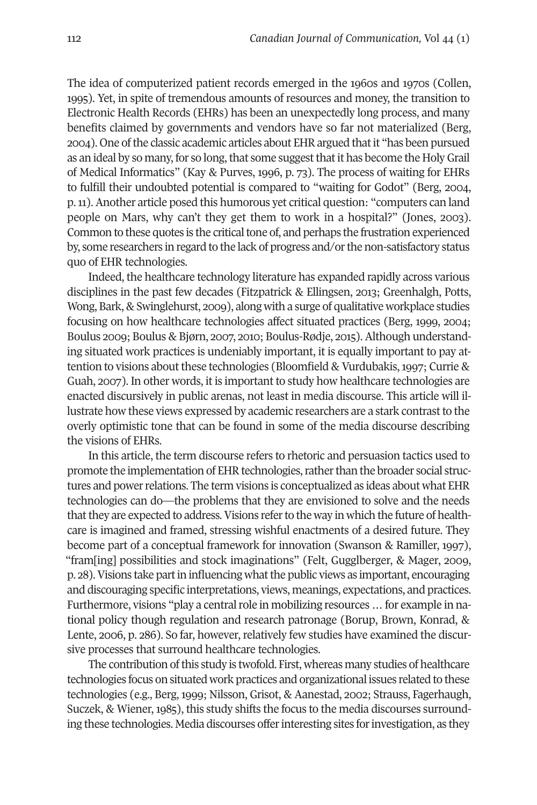The idea of computerized patient records emerged in the 1960s and 1970s (Collen, 1995). Yet, in spite of tremendous amounts of resources and money, the transition to Electronic Health Records (EHRs) has been an unexpectedly long process, and many benefits claimed by governments and vendors have so far not materialized (Berg, 2004). One ofthe classic academic articles about EHRargued thatit "has been pursued as an ideal by so many, for so long, that some suggest that it has become the Holy Grail of Medical Informatics" (Kay & Purves, 1996, p. 73). The process of waiting for EHRs to fulfill their undoubted potential is compared to "waiting for Godot" (Berg, 2004, p.11).Another article posed this humorous yet critical question: "computers can land people on Mars, why can't they get them to work in a hospital?" (Jones, 2003). Common to these quotes is the critical tone of, and perhaps the frustration experienced by, some researchers in regard to the lack of progress and/or the non-satisfactory status quo of EHR technologies.

Indeed, the healthcare technology literature has expanded rapidly across various disciplines in the past few decades (Fitzpatrick & Ellingsen, 2013; Greenhalgh, Potts, Wong, Bark, & Swinglehurst, 2009), along with a surge of qualitative workplace studies focusing on how healthcare technologies affect situated practices (Berg, 1999, 2004; Boulus 2009; Boulus & Bjørn, 2007, 2010; Boulus-Rødje, 2015). Although understanding situated work practices is undeniably important, it is equally important to pay attention to visions about these technologies (Bloomfield & Vurdubakis, 1997; Currie & Guah, 2007). In other words, it is important to study how healthcare technologies are enacted discursively in public arenas, not least in media discourse. This article will illustrate how these views expressed by academic researchers are a stark contrastto the overly optimistic tone that can be found in some of the media discourse describing the visions of EHRs.

In this article, the term discourse refers to rhetoric and persuasion tactics used to promote the implementation of EHR technologies, rather than the broader social structures and power relations. The term visions is conceptualized as ideas about what EHR technologies can do—the problems that they are envisioned to solve and the needs that they are expected to address. Visions refer to the way in which the future of healthcare is imagined and framed, stressing wishful enactments of a desired future. They become part of a conceptual framework for innovation (Swanson & Ramiller, 1997), "fram[ing] possibilities and stock imaginations" (Felt, Gugglberger, & Mager, 2009, p. 28).Visions take partin influencing whatthe public views as important, encouraging and discouraging specific interpretations, views, meanings, expectations, and practices. Furthermore, visions "play a central role in mobilizing resources ... for example in national policy though regulation and research patronage (Borup, Brown, Konrad, & Lente, 2006, p. 286). So far, however, relatively few studies have examined the discursive processes that surround healthcare technologies.

The contribution of this study is twofold. First, whereas many studies of healthcare technologies focus on situated work practices and organizational issues related to these technologies (e.g., Berg, 1999; Nilsson, Grisot, & Aanestad, 2002; Strauss, Fagerhaugh, Suczek, & Wiener, 1985), this study shifts the focus to the media discourses surrounding these technologies. Media discourses offerinteresting sites forinvestigation, as they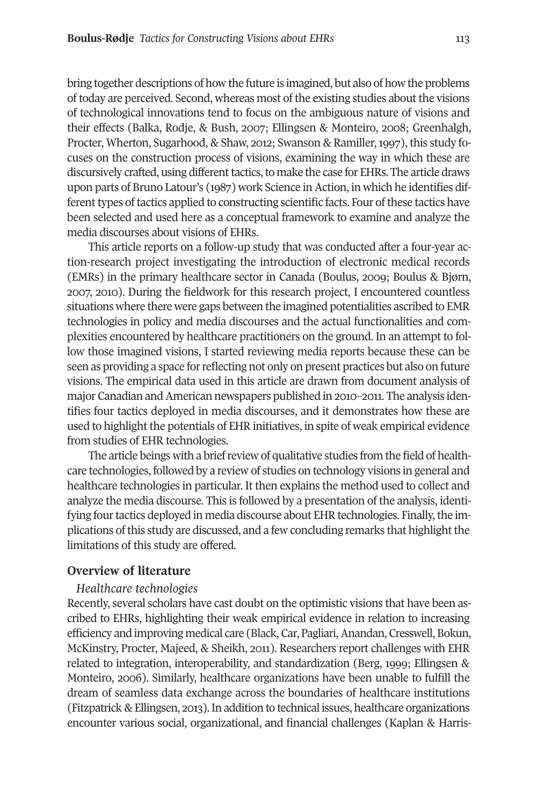bring together descriptions of how the future is imagined, but also of how the problems of today are perceived. Second, whereas most of the existing studies about the visions of technological innovations tend to focus on the ambiguous nature of visions and their effects (Balka, Rodje, & Bush, 2007; Ellingsen & Monteiro, 2008; Greenhalgh, Procter, Wherton, Sugarhood, & Shaw, 2012; Swanson & Ramiller, 1997), this study focuses on the construction process of visions, examining the way in which these are discursively crafted, using different tactics, to make the case for EHRs. The article draws upon parts of Bruno Latour's (1987) work Science in Action, in which he identifies different types of tactics applied to constructing scientific facts. Four of these tactics have been selected and used here as a conceptual framework to examine and analyze the media discourses about visions of EHRs.

This article reports on a follow-up study that was conducted after a four-year action-research project investigating the introduction of electronic medical records (EMRs) in the primary healthcare sector in Canada (Boulus, 2009; Boulus & Bjørn, 2007, 2010). During the fieldwork for this research project, I encountered countless situations where there were gaps between the imagined potentialities ascribed to EMR technologies in policy and media discourses and the actual functionalities and complexities encountered by healthcare practitioners on the ground. In an attempt to follow those imagined visions, I started reviewing media reports because these can be seen as providing a space for reflecting not only on present practices but also on future visions. The empirical data used in this article are drawn from document analysis of major Canadian and American newspapers published in 2010–2011. The analysis identifies four tactics deployed in media discourses, and it demonstrates how these are used to highlight the potentials of EHR initiatives, in spite of weak empirical evidence from studies of EHR technologies.

The article beings with a brief review of qualitative studies from the field of healthcare technologies, followed by a review of studies on technology visions in general and healthcare technologies in particular. It then explains the method used to collect and analyze the media discourse. This is followed by a presentation of the analysis, identifying four tactics deployed in media discourse about EHR technologies. Finally, the implications of this study are discussed, and a few concluding remarks that highlight the limitations of this study are offered.

# **Overview of literature**

#### *Healthcare technologies*

Recently, several scholars have cast doubt on the optimistic visions that have been ascribed to EHRs, highlighting their weak empirical evidence in relation to increasing efficiency and improving medical care (Black, Car, Pagliari,Anandan, Cresswell, Bokun, McKinstry, Procter, Majeed, & Sheikh, 2011). Researchers report challenges with EHR related to integration, interoperability, and standardization (Berg, 1999; Ellingsen & Monteiro, 2006). Similarly, healthcare organizations have been unable to fulfill the dream of seamless data exchange across the boundaries of healthcare institutions (Fitzpatrick & Ellingsen, 2013).In addition to technical issues, healthcare organizations encounter various social, organizational, and financial challenges (Kaplan & Harris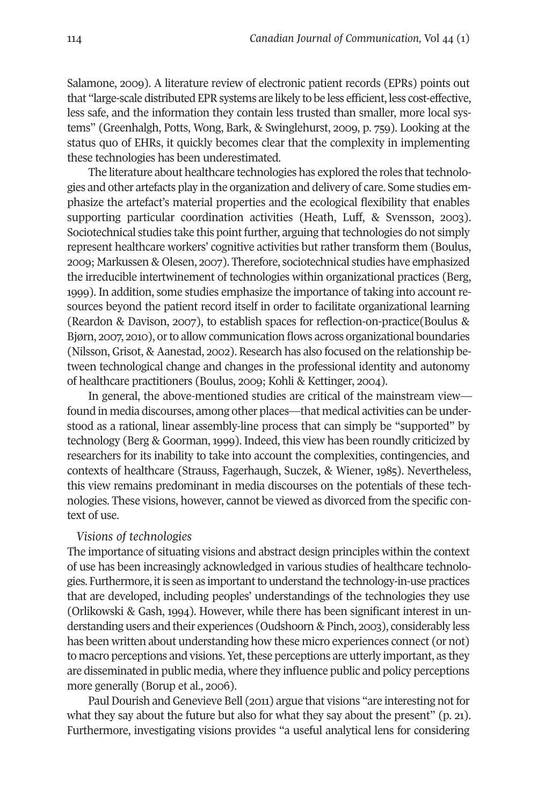Salamone, 2009). A literature review of electronic patient records (EPRs) points out that "large-scale distributed EPR systems are likely to be less efficient, less cost-effective, less safe, and the information they contain less trusted than smaller, more local systems" (Greenhalgh, Potts, Wong, Bark, & Swinglehurst, 2009, p. 759). Looking at the status quo of EHRs, it quickly becomes clear that the complexity in implementing these technologies has been underestimated.

The literature about healthcare technologies has explored the roles that technologies and other artefacts play in the organization and delivery of care. Some studies emphasize the artefact's material properties and the ecological flexibility that enables supporting particular coordination activities (Heath, Luff, & Svensson, 2003). Sociotechnical studies take this point further, arguing that technologies do not simply represent healthcare workers' cognitive activities but rather transform them (Boulus, 2009; Markussen & Olesen, 2007). Therefore, sociotechnical studies have emphasized the irreducible intertwinement of technologies within organizational practices (Berg, 1999). In addition, some studies emphasize the importance of taking into account resources beyond the patient record itself in order to facilitate organizational learning (Reardon & Davison, 2007), to establish spaces for reflection-on-practice(Boulus & Bjørn, 2007, 2010), orto allow communication flows across organizational boundaries (Nilsson, Grisot, & Aanestad, 2002). Research has also focused on the relationship between technological change and changes in the professional identity and autonomy of healthcare practitioners (Boulus, 2009; Kohli & Kettinger, 2004).

In general, the above-mentioned studies are critical of the mainstream view found in media discourses, among other places—that medical activities can be understood as a rational, linear assembly-line process that can simply be "supported" by technology (Berg & Goorman, 1999). Indeed, this view has been roundly criticized by researchers for its inability to take into account the complexities, contingencies, and contexts of healthcare (Strauss, Fagerhaugh, Suczek, & Wiener, 1985). Nevertheless, this view remains predominant in media discourses on the potentials of these technologies. These visions, however, cannot be viewed as divorced from the specific context of use.

#### *Visions of technologies*

The importance of situating visions and abstract design principles within the context of use has been increasingly acknowledged in various studies of healthcare technologies. Furthermore, itis seen as importantto understand the technology-in-use practices that are developed, including peoples' understandings of the technologies they use (Orlikowski & Gash, 1994). However, while there has been significant interest in understanding users and their experiences (Oudshoorn & Pinch, 2003), considerably less has been written about understanding how these micro experiences connect (or not) to macro perceptions and visions. Yet, these perceptions are utterly important, as they are disseminated in public media, where they influence public and policy perceptions more generally (Borup et al., 2006).

Paul Dourish and Genevieve Bell (2011) argue that visions "are interesting not for what they say about the future but also for what they say about the present" (p. 21). Furthermore, investigating visions provides "a useful analytical lens for considering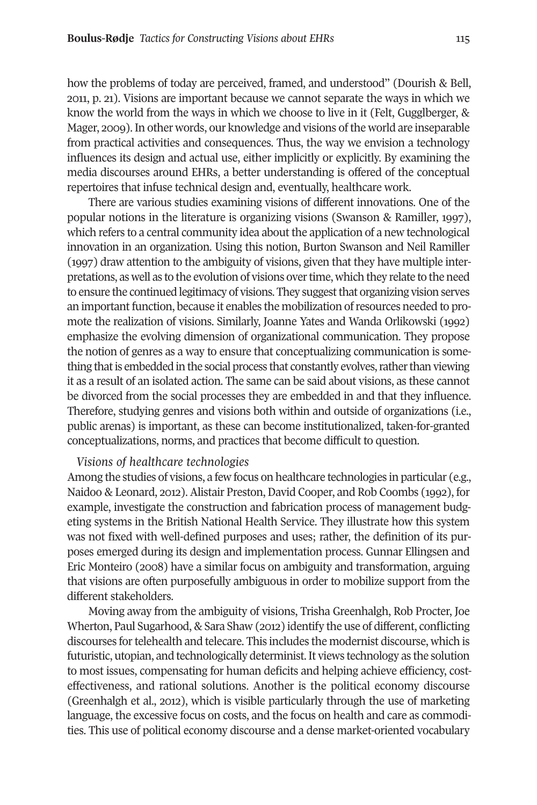how the problems of today are perceived, framed, and understood" (Dourish & Bell, 2011, p. 21). Visions are important because we cannot separate the ways in which we know the world from the ways in which we choose to live in it (Felt, Gugglberger, & Mager, 2009). In other words, our knowledge and visions ofthe world are inseparable from practical activities and consequences. Thus, the way we envision a technology influences its design and actual use, either implicitly or explicitly. By examining the media discourses around EHRs, a better understanding is offered of the conceptual repertoires that infuse technical design and, eventually, healthcare work.

There are various studies examining visions of different innovations. One of the popular notions in the literature is organizing visions (Swanson & Ramiller, 1997), which refers to a central community idea about the application of a new technological innovation in an organization. Using this notion, Burton Swanson and Neil Ramiller (1997) draw attention to the ambiguity of visions, given that they have multiple interpretations, as well as to the evolution of visions overtime, which they relate to the need to ensure the continued legitimacy of visions. They suggestthat organizing vision serves an important function, because it enables the mobilization of resources needed to promote the realization of visions. Similarly, Joanne Yates and Wanda Orlikowski (1992) emphasize the evolving dimension of organizational communication. They propose the notion of genres as a way to ensure that conceptualizing communication is something that is embedded in the social process that constantly evolves, rather than viewing it as a result of an isolated action. The same can be said about visions, as these cannot be divorced from the social processes they are embedded in and that they influence. Therefore, studying genres and visions both within and outside of organizations (i.e., public arenas) is important, as these can become institutionalized, taken-for-granted conceptualizations, norms, and practices that become difficult to question.

## *Visions of healthcare technologies*

Among the studies of visions, a few focus on healthcare technologies in particular (e.g., Naidoo & Leonard, 2012). Alistair Preston, David Cooper, and Rob Coombs (1992), for example, investigate the construction and fabrication process of management budgeting systems in the British National Health Service. They illustrate how this system was not fixed with well-defined purposes and uses; rather, the definition of its purposes emerged during its design and implementation process. Gunnar Ellingsen and Eric Monteiro (2008) have a similar focus on ambiguity and transformation, arguing that visions are often purposefully ambiguous in order to mobilize support from the different stakeholders.

Moving away from the ambiguity of visions, Trisha Greenhalgh, Rob Procter, Joe Wherton, Paul Sugarhood, & Sara Shaw (2012) identify the use of different, conflicting discourses fortelehealth and telecare. This includes the modernist discourse, which is futuristic, utopian, and technologically determinist.It views technology as the solution to most issues, compensating for human deficits and helping achieve efficiency, costeffectiveness, and rational solutions. Another is the political economy discourse (Greenhalgh et al., 2012), which is visible particularly through the use of marketing language, the excessive focus on costs, and the focus on health and care as commodities. This use of political economy discourse and a dense market-oriented vocabulary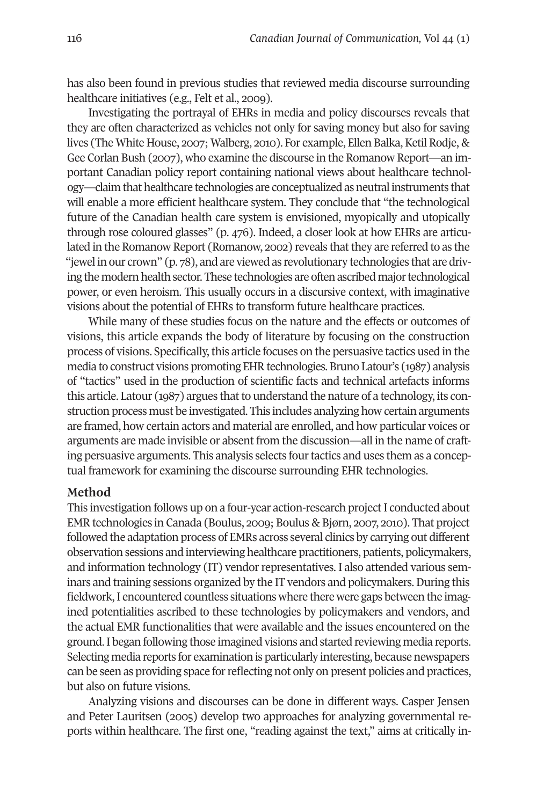has also been found in previous studies that reviewed media discourse surrounding healthcare initiatives (e.g., Felt et al., 2009).

Investigating the portrayal of EHRs in media and policy discourses reveals that they are often characterized as vehicles not only for saving money but also for saving lives (The White House, 2007; Walberg, 2010). For example, Ellen Balka, Ketil Rodje, & Gee Corlan Bush (2007), who examine the discourse in the Romanow Report—an important Canadian policy report containing national views about healthcare technology—claim that healthcare technologies are conceptualized as neutral instruments that will enable a more efficient healthcare system. They conclude that "the technological future of the Canadian health care system is envisioned, myopically and utopically through rose coloured glasses" (p. 476). Indeed, a closer look at how EHRs are articulated in the Romanow Report (Romanow, 2002) reveals that they are referred to as the "jewel in our crown" (p. 78), and are viewed as revolutionary technologies that are driving the modern health sector. These technologies are often ascribed majortechnological power, or even heroism. This usually occurs in a discursive context, with imaginative visions about the potential of EHRs to transform future healthcare practices.

While many of these studies focus on the nature and the effects or outcomes of visions, this article expands the body of literature by focusing on the construction process of visions. Specifically, this article focuses on the persuasive tactics used in the media to construct visions promoting EHR technologies. Bruno Latour's (1987) analysis of "tactics" used in the production of scientific facts and technical artefacts informs this article. Latour  $(1987)$  argues that to understand the nature of a technology, its construction process must be investigated. This includes analyzing how certain arguments are framed, how certain actors and material are enrolled, and how particular voices or arguments are made invisible or absent from the discussion—all in the name of crafting persuasive arguments. This analysis selects four tactics and uses them as a conceptual framework for examining the discourse surrounding EHR technologies.

## **Method**

This investigation follows up on a four-year action-research project I conducted about EMR technologies in Canada (Boulus, 2009; Boulus & Bjørn, 2007, 2010). That project followed the adaptation process of EMRs across several clinics by carrying out different observation sessions and interviewing healthcare practitioners, patients, policymakers, and information technology (IT) vendor representatives. I also attended various seminars and training sessions organized by the IT vendors and policymakers. During this fieldwork,I encountered countless situations where there were gaps between the imagined potentialities ascribed to these technologies by policymakers and vendors, and the actual EMR functionalities that were available and the issues encountered on the ground.I began following those imagined visions and started reviewing media reports. Selecting media reports for examination is particularly interesting, because newspapers can be seen as providing space for reflecting not only on present policies and practices, but also on future visions.

Analyzing visions and discourses can be done in different ways. Casper Jensen and Peter Lauritsen (2005) develop two approaches for analyzing governmental reports within healthcare. The first one, "reading against the text," aims at critically in-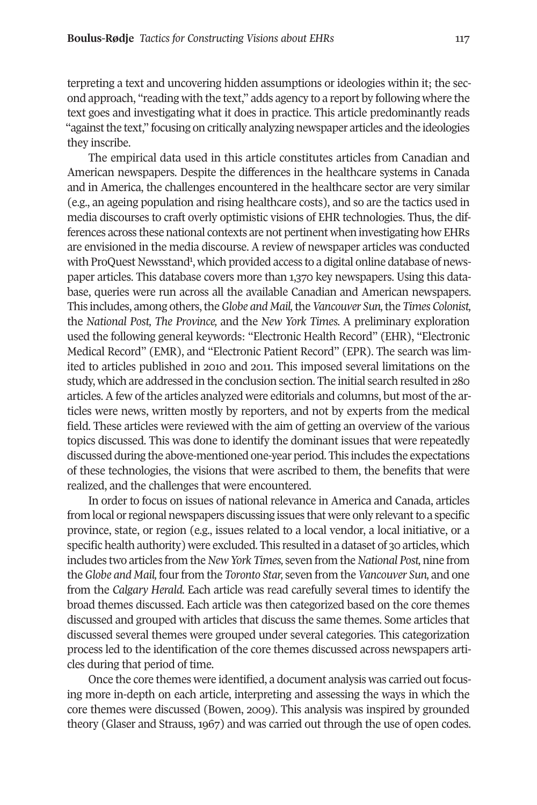terpreting a text and uncovering hidden assumptions or ideologies within it; the second approach, "reading with the text," adds agency to a report by following where the text goes and investigating what it does in practice. This article predominantly reads "against the text," focusing on critically analyzing newspaper articles and the ideologies they inscribe.

The empirical data used in this article constitutes articles from Canadian and American newspapers. Despite the differences in the healthcare systems in Canada and in America, the challenges encountered in the healthcare sector are very similar (e.g., an ageing population and rising healthcare costs), and so are the tactics used in media discourses to craft overly optimistic visions of EHR technologies. Thus, the differences across these national contexts are not pertinent when investigating how EHRs are envisioned in the media discourse. A review of newspaper articles was conducted with ProQuest Newsstand<sup>1</sup>, which provided access to a digital online database of newspaper articles. This database covers more than 1,370 key newspapers. Using this database, queries were run across all the available Canadian and American newspapers. This includes, among others,the*Globe and Mail,*the*Vancouver Sun,*the *Times Colonist,* the *National Post, The Province,* and the *New York Times.* A preliminary exploration used the following general keywords: "Electronic Health Record" (EHR), "Electronic Medical Record" (EMR), and "Electronic Patient Record" (EPR). The search was limited to articles published in 2010 and 2011. This imposed several limitations on the study, which are addressed in the conclusion section. The initial search resulted in 280 articles. A few of the articles analyzed were editorials and columns, but most of the articles were news, written mostly by reporters, and not by experts from the medical field. These articles were reviewed with the aim of getting an overview of the various topics discussed. This was done to identify the dominant issues that were repeatedly discussed during the above-mentioned one-year period. This includes the expectations of these technologies, the visions that were ascribed to them, the benefits that were realized, and the challenges that were encountered.

In order to focus on issues of national relevance in America and Canada, articles from local or regional newspapers discussing issues that were only relevant to a specific province, state, or region (e.g., issues related to a local vendor, a local initiative, or a specific health authority) were excluded. This resulted in a dataset of 30 articles, which includes two articles from the*New York Times,* seven from the*National Post,* nine from the *Globe and Mail,* fourfrom the *Toronto Star,* seven from the *Vancouver Sun,* and one from the *Calgary Herald.* Each article was read carefully several times to identify the broad themes discussed. Each article was then categorized based on the core themes discussed and grouped with articles that discuss the same themes. Some articles that discussed several themes were grouped under several categories. This categorization process led to the identification of the core themes discussed across newspapers articles during that period of time.

Once the core themes were identified, a document analysis was carried out focusing more in-depth on each article, interpreting and assessing the ways in which the core themes were discussed (Bowen, 2009). This analysis was inspired by grounded theory (Glaser and Strauss, 1967) and was carried out through the use of open codes.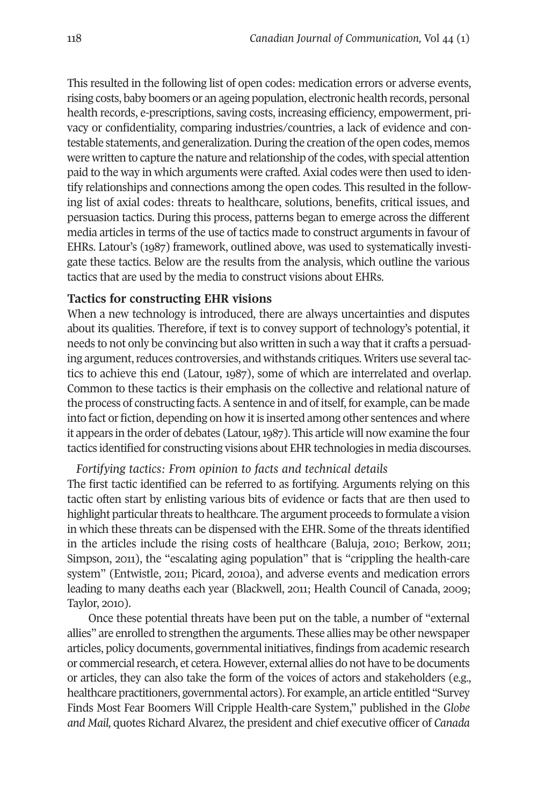This resulted in the following list of open codes: medication errors or adverse events, rising costs, baby boomers or an ageing population, electronic health records, personal health records, e-prescriptions, saving costs, increasing efficiency, empowerment, privacy or confidentiality, comparing industries/countries, a lack of evidence and contestable statements, and generalization.During the creation ofthe open codes, memos were written to capture the nature and relationship of the codes, with special attention paid to the way in which arguments were crafted. Axial codes were then used to identify relationships and connections among the open codes. This resulted in the following list of axial codes: threats to healthcare, solutions, benefits, critical issues, and persuasion tactics. During this process, patterns began to emerge across the different media articles in terms of the use of tactics made to construct arguments in favour of EHRs. Latour's (1987) framework, outlined above, was used to systematically investigate these tactics. Below are the results from the analysis, which outline the various tactics that are used by the media to construct visions about EHRs.

#### **Tactics for constructing EHR visions**

When a new technology is introduced, there are always uncertainties and disputes about its qualities. Therefore, if text is to convey support of technology's potential, it needs to not only be convincing but also written in such a way that it crafts a persuading argument, reduces controversies, and withstands critiques. Writers use several tactics to achieve this end (Latour, 1987), some of which are interrelated and overlap. Common to these tactics is their emphasis on the collective and relational nature of the process of constructing facts. A sentence in and of itself, for example, can be made into fact or fiction, depending on how it is inserted among other sentences and where it appears in the order of debates (Latour,1987). This article will now examine the four tactics identified for constructing visions about EHR technologies in media discourses.

## *Fortifying tactics: From opinion to facts and technical details*

The first tactic identified can be referred to as fortifying. Arguments relying on this tactic often start by enlisting various bits of evidence or facts that are then used to highlight particular threats to healthcare. The argument proceeds to formulate a vision in which these threats can be dispensed with the EHR. Some of the threats identified in the articles include the rising costs of healthcare (Baluja, 2010; Berkow, 2011; Simpson, 2011), the "escalating aging population" that is "crippling the health-care system" (Entwistle, 2011; Picard, 2010a), and adverse events and medication errors leading to many deaths each year (Blackwell, 2011; Health Council of Canada, 2009; Taylor, 2010).

Once these potential threats have been put on the table, a number of "external allies" are enrolled to strengthen the arguments. These allies may be other newspaper articles, policy documents, governmental initiatives, findings from academic research or commercial research, et cetera. However, external allies do not have to be documents or articles, they can also take the form of the voices of actors and stakeholders (e.g., healthcare practitioners, governmental actors). For example, an article entitled "Survey Finds Most Fear Boomers Will Cripple Health-care System," published in the *Globe and Mail,* quotes Richard Alvarez, the president and chief executive officer of *Canada*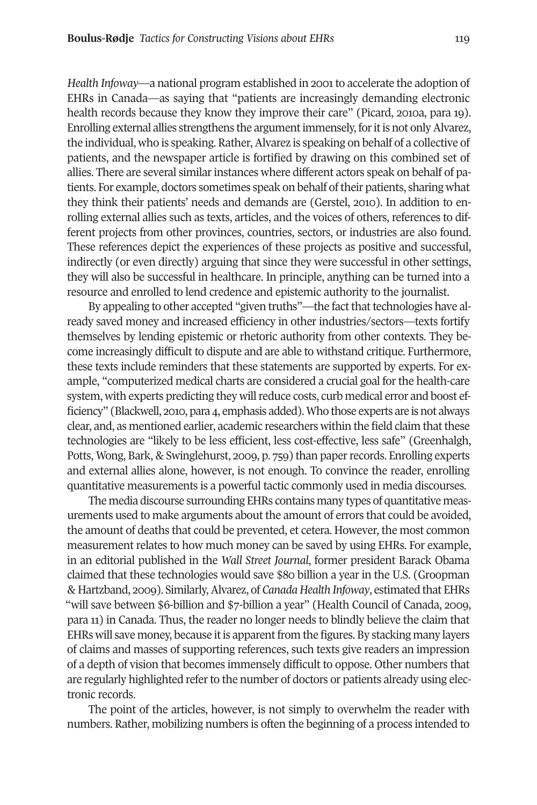*Health Infoway*—a national program established in 2001to accelerate the adoption of EHRs in Canada—as saying that "patients are increasingly demanding electronic health records because they know they improve their care" (Picard, 2010a, para 19). Enrolling external allies strengthens the argument immensely, for it is not only Alvarez, the individual, who is speaking. Rather,Alvarez is speaking on behalf of a collective of patients, and the newspaper article is fortified by drawing on this combined set of allies. There are several similar instances where different actors speak on behalf of patients. For example, doctors sometimes speak on behalf oftheir patients, sharing what they think their patients' needs and demands are (Gerstel, 2010). In addition to enrolling external allies such as texts, articles, and the voices of others, references to different projects from other provinces, countries, sectors, or industries are also found. These references depict the experiences of these projects as positive and successful, indirectly (or even directly) arguing that since they were successful in other settings, they will also be successful in healthcare. In principle, anything can be turned into a resource and enrolled to lend credence and epistemic authority to the journalist.

By appealing to other accepted "given truths"—the fact that technologies have already saved money and increased efficiency in other industries/sectors—texts fortify themselves by lending epistemic or rhetoric authority from other contexts. They become increasingly difficult to dispute and are able to withstand critique. Furthermore, these texts include reminders that these statements are supported by experts. For example, "computerized medical charts are considered a crucial goal for the health-care system, with experts predicting they will reduce costs, curb medical error and boost efficiency" (Blackwell, 2010, para 4, emphasis added).Who those experts are is not always clear, and, as mentioned earlier, academic researchers within the field claim that these technologies are "likely to be less efficient, less cost-effective, less safe" (Greenhalgh, Potts, Wong, Bark, & Swinglehurst, 2009, p. 759) than paperrecords. Enrolling experts and external allies alone, however, is not enough. To convince the reader, enrolling quantitative measurements is a powerful tactic commonly used in media discourses.

The media discourse surrounding EHRs contains many types of quantitative measurements used to make arguments about the amount of errors that could be avoided, the amount of deaths that could be prevented, et cetera. However, the most common measurement relates to how much money can be saved by using EHRs. For example, in an editorial published in the *Wall Street Journal*, former president Barack Obama claimed that these technologies would save \$80 billion a year in the U.S. (Groopman & Hartzband, 2009). Similarly,Alvarez, of *Canada Health Infoway*, estimated that EHRs "will save between \$6-billion and \$7-billion a year" (Health Council of Canada, 2009, para 11) in Canada. Thus, the reader no longer needs to blindly believe the claim that EHRs will save money, because it is apparent from the figures. By stacking many layers of claims and masses of supporting references, such texts give readers an impression of a depth of vision that becomes immensely difficult to oppose. Other numbers that are regularly highlighted referto the number of doctors or patients already using electronic records.

The point of the articles, however, is not simply to overwhelm the reader with numbers. Rather, mobilizing numbers is often the beginning of a process intended to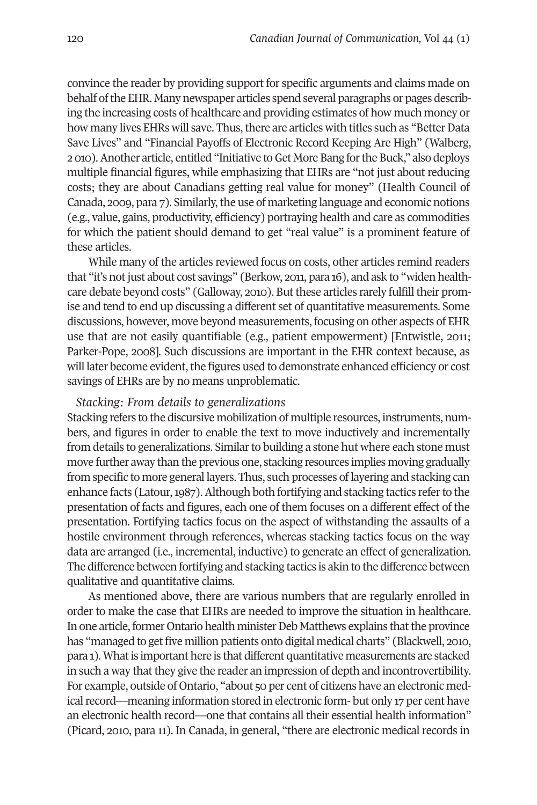convince the reader by providing support for specific arguments and claims made on behalf ofthe EHR. Many newspaper articles spend several paragraphs or pages describing the increasing costs of healthcare and providing estimates of how much money or how many lives EHRs will save. Thus, there are articles with titles such as "Better Data" Save Lives" and "Financial Payoffs of Electronic Record Keeping Are High" (Walberg, 2 010).Another article, entitled "Initiative toGet More Bang forthe Buck," also deploys multiple financial figures, while emphasizing that EHRs are "not just about reducing costs; they are about Canadians getting real value for money" (Health Council of Canada, 2009, para 7). Similarly, the use of marketing language and economic notions (e.g., value, gains, productivity, efficiency) portraying health and care as commodities for which the patient should demand to get "real value" is a prominent feature of these articles.

While many of the articles reviewed focus on costs, other articles remind readers that "it's not just about cost savings" (Berkow, 2011, para 16), and ask to "widen healthcare debate beyond costs" (Galloway, 2010). But these articles rarely fulfill their promise and tend to end up discussing a different set of quantitative measurements. Some discussions, however, move beyond measurements, focusing on other aspects of EHR use that are not easily quantifiable (e.g., patient empowerment) [Entwistle, 2011; Parker-Pope, 2008]. Such discussions are important in the EHR context because, as will later become evident, the figures used to demonstrate enhanced efficiency or cost savings of EHRs are by no means unproblematic.

## *Stacking: From details to generalizations*

Stacking refers to the discursive mobilization of multiple resources, instruments, numbers, and figures in order to enable the text to move inductively and incrementally from details to generalizations. Similarto building a stone hut where each stone must move further away than the previous one, stacking resources implies moving gradually from specific to more general layers. Thus, such processes of layering and stacking can enhance facts (Latour,1987).Although both fortifying and stacking tactics referto the presentation of facts and figures, each one of them focuses on a different effect of the presentation. Fortifying tactics focus on the aspect of withstanding the assaults of a hostile environment through references, whereas stacking tactics focus on the way data are arranged (i.e., incremental, inductive) to generate an effect of generalization. The difference between fortifying and stacking tactics is akin to the difference between qualitative and quantitative claims.

As mentioned above, there are various numbers that are regularly enrolled in order to make the case that EHRs are needed to improve the situation in healthcare. In one article, former Ontario health minister Deb Matthews explains that the province has "managed to get five million patients onto digital medical charts" (Blackwell, 2010, para 1). What is important here is that different quantitative measurements are stacked in such a way that they give the reader an impression of depth and incontrovertibility. For example, outside of Ontario, "about 50 per cent of citizens have an electronic medical record—meaning information stored in electronic form- but only 17 per cent have an electronic health record—one that contains all their essential health information" (Picard, 2010, para 11). In Canada, in general, "there are electronic medical records in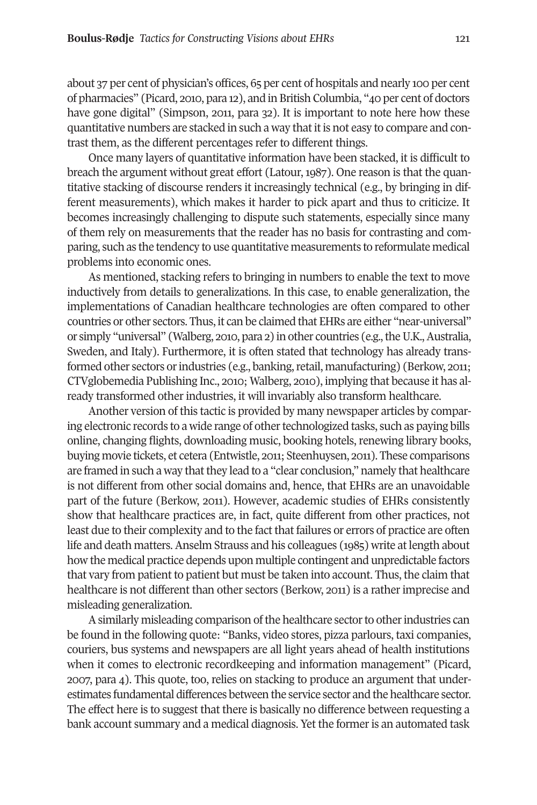about 37 per cent of physician's offices, 65 per cent of hospitals and nearly 100 per cent of pharmacies" (Picard, 2010, para 12), and in British Columbia, "40 per cent of doctors have gone digital" (Simpson, 2011, para 32). It is important to note here how these quantitative numbers are stacked in such a way that it is not easy to compare and contrast them, as the different percentages refer to different things.

Once many layers of quantitative information have been stacked, it is difficult to breach the argument without great effort (Latour, 1987). One reason is that the quantitative stacking of discourse renders it increasingly technical (e.g., by bringing in different measurements), which makes it harder to pick apart and thus to criticize. It becomes increasingly challenging to dispute such statements, especially since many of them rely on measurements that the reader has no basis for contrasting and comparing, such as the tendency to use quantitative measurements to reformulate medical problems into economic ones.

As mentioned, stacking refers to bringing in numbers to enable the text to move inductively from details to generalizations. In this case, to enable generalization, the implementations of Canadian healthcare technologies are often compared to other countries or other sectors. Thus, it can be claimed that EHRs are either "near-universal" or simply "universal" (Walberg, 2010, para 2) in other countries (e.g., the U.K., Australia, Sweden, and Italy). Furthermore, it is often stated that technology has already transformed other sectors or industries (e.g., banking, retail, manufacturing) (Berkow, 2011; CTVglobemedia Publishing Inc., 2010; Walberg, 2010), implying that because it has already transformed other industries, it will invariably also transform healthcare.

Another version of this tactic is provided by many newspaper articles by comparing electronic records to a wide range of other technologized tasks, such as paying bills online, changing flights, downloading music, booking hotels, renewing library books, buying movie tickets, et cetera (Entwistle, 2011; Steenhuysen, 2011). These comparisons are framed in such a way that they lead to a "clear conclusion," namely that healthcare is not different from other social domains and, hence, that EHRs are an unavoidable part of the future (Berkow, 2011). However, academic studies of EHRs consistently show that healthcare practices are, in fact, quite different from other practices, not least due to their complexity and to the fact that failures or errors of practice are often life and death matters.Anselm Strauss and his colleagues (1985) write atlength about how the medical practice depends upon multiple contingent and unpredictable factors that vary from patient to patient but must be taken into account. Thus, the claim that healthcare is not different than other sectors (Berkow, 2011) is a rather imprecise and misleading generalization.

A similarly misleading comparison of the healthcare sector to other industries can be found in the following quote: "Banks, video stores, pizza parlours, taxi companies, couriers, bus systems and newspapers are all light years ahead of health institutions when it comes to electronic recordkeeping and information management" (Picard, 2007, para 4). This quote, too, relies on stacking to produce an argument that underestimates fundamental differences between the service sector and the healthcare sector. The effect here is to suggest that there is basically no difference between requesting a bank account summary and a medical diagnosis. Yet the formeris an automated task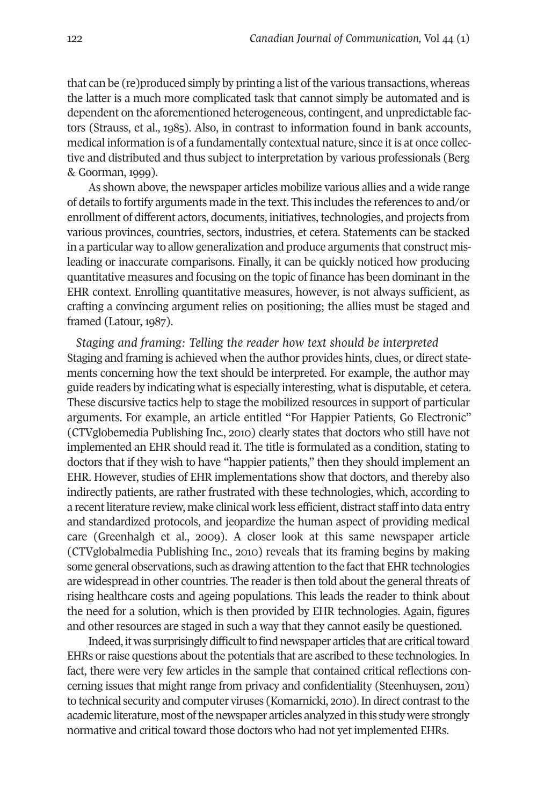that can be (re)produced simply by printing a list ofthe various transactions, whereas the latter is a much more complicated task that cannot simply be automated and is dependent on the aforementioned heterogeneous, contingent, and unpredictable factors (Strauss, et al., 1985). Also, in contrast to information found in bank accounts, medical information is of a fundamentally contextual nature, since it is at once collective and distributed and thus subject to interpretation by various professionals (Berg & Goorman, 1999).

As shown above, the newspaper articles mobilize various allies and a wide range of details to fortify arguments made in the text. This includes the references to and/or enrollment of different actors, documents, initiatives, technologies, and projects from various provinces, countries, sectors, industries, et cetera. Statements can be stacked in a particular way to allow generalization and produce arguments that construct misleading or inaccurate comparisons. Finally, it can be quickly noticed how producing quantitative measures and focusing on the topic of finance has been dominant in the EHR context. Enrolling quantitative measures, however, is not always sufficient, as crafting a convincing argument relies on positioning; the allies must be staged and framed (Latour, 1987).

*Staging and framing: Telling the reader how text should be interpreted* Staging and framing is achieved when the author provides hints, clues, or direct statements concerning how the text should be interpreted. For example, the author may guide readers by indicating what is especially interesting, what is disputable, et cetera. These discursive tactics help to stage the mobilized resources in support of particular arguments. For example, an article entitled "For Happier Patients, Go Electronic" (CTVglobemedia Publishing Inc., 2010) clearly states that doctors who still have not implemented an EHR should read it. The title is formulated as a condition, stating to doctors that if they wish to have "happier patients," then they should implement an EHR. However, studies of EHR implementations show that doctors, and thereby also indirectly patients, are rather frustrated with these technologies, which, according to a recent literature review, make clinical work less efficient, distract staff into data entry and standardized protocols, and jeopardize the human aspect of providing medical care (Greenhalgh et al., 2009). A closer look at this same newspaper article (CTVglobalmedia Publishing Inc., 2010) reveals that its framing begins by making some general observations, such as drawing attention to the fact that EHR technologies are widespread in other countries. The readeris then told about the general threats of rising healthcare costs and ageing populations. This leads the reader to think about the need for a solution, which is then provided by EHR technologies. Again, figures and other resources are staged in such a way that they cannot easily be questioned.

Indeed, it was surprisingly difficult to find newspaper articles that are critical toward EHRs or raise questions about the potentials that are ascribed to these technologies. In fact, there were very few articles in the sample that contained critical reflections concerning issues that might range from privacy and confidentiality (Steenhuysen, 2011) to technical security and computer viruses (Komarnicki, 2010). In direct contrast to the academic literature, most of the newspaper articles analyzed in this study were strongly normative and critical toward those doctors who had not yet implemented EHRs.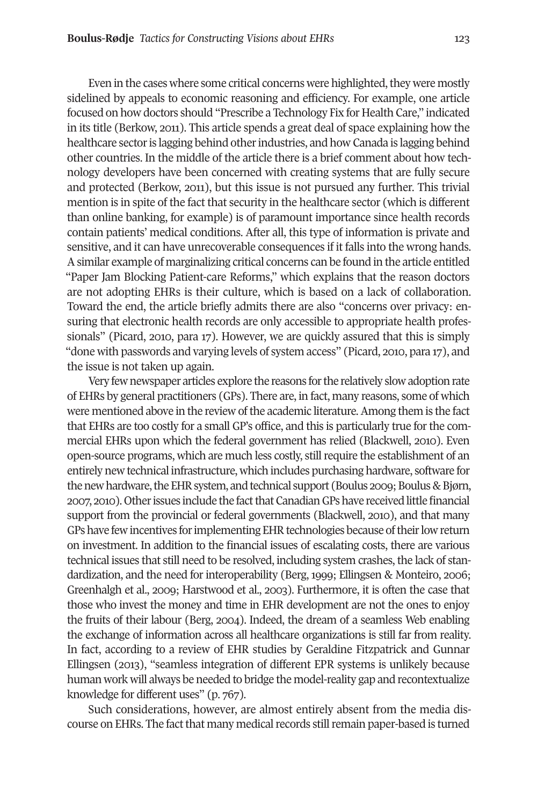Even in the cases where some critical concerns were highlighted, they were mostly sidelined by appeals to economic reasoning and efficiency. For example, one article focused on how doctors should "Prescribe a Technology Fix for Health Care," indicated in its title (Berkow, 2011). This article spends a great deal of space explaining how the healthcare sectoris lagging behind otherindustries, and how Canada is lagging behind other countries. In the middle of the article there is a brief comment about how technology developers have been concerned with creating systems that are fully secure and protected (Berkow, 2011), but this issue is not pursued any further. This trivial mention is in spite of the fact that security in the healthcare sector (which is different than online banking, for example) is of paramount importance since health records contain patients' medical conditions. After all, this type of information is private and sensitive, and it can have unrecoverable consequences if it falls into the wrong hands. Asimilar example of marginalizing critical concerns can be found in the article entitled "Paper Jam Blocking Patient-care Reforms," which explains that the reason doctors are not adopting EHRs is their culture, which is based on a lack of collaboration. Toward the end, the article briefly admits there are also "concerns over privacy: ensuring that electronic health records are only accessible to appropriate health professionals" (Picard, 2010, para 17). However, we are quickly assured that this is simply "done with passwords and varying levels of system access" (Picard, 2010, para 17), and the issue is not taken up again.

Very few newspaper articles explore the reasons for the relatively slow adoption rate of EHRs by general practitioners (GPs). There are, in fact, many reasons, some of which were mentioned above in the review of the academic literature. Among them is the fact that EHRs are too costly for a small GP's office, and this is particularly true for the commercial EHRs upon which the federal government has relied (Blackwell, 2010). Even open-source programs, which are much less costly, stillrequire the establishment of an entirely new technical infrastructure, which includes purchasing hardware, software for the new hardware, the EHR system, and technical support (Boulus 2009; Boulus & Bjørn, 2007, 2010). Other issues include the fact that Canadian GPs have received little financial support from the provincial or federal governments (Blackwell, 2010), and that many GPshave fewincentives forimplementing EHRtechnologies because oftheirlowreturn on investment. In addition to the financial issues of escalating costs, there are various technical issues that still need to be resolved, including system crashes, the lack of standardization, and the need for interoperability (Berg, 1999; Ellingsen & Monteiro, 2006; Greenhalgh et al., 2009; Harstwood et al., 2003). Furthermore, it is often the case that those who invest the money and time in EHR development are not the ones to enjoy the fruits of their labour (Berg, 2004). Indeed, the dream of a seamless Web enabling the exchange of information across all healthcare organizations is still far from reality. In fact, according to a review of EHR studies by Geraldine Fitzpatrick and Gunnar Ellingsen (2013), "seamless integration of different EPR systems is unlikely because human work will always be needed to bridge the model-reality gap and recontextualize knowledge for different uses" (p. 767).

Such considerations, however, are almost entirely absent from the media discourse on EHRs. The fact that many medical records still remain paper-based is turned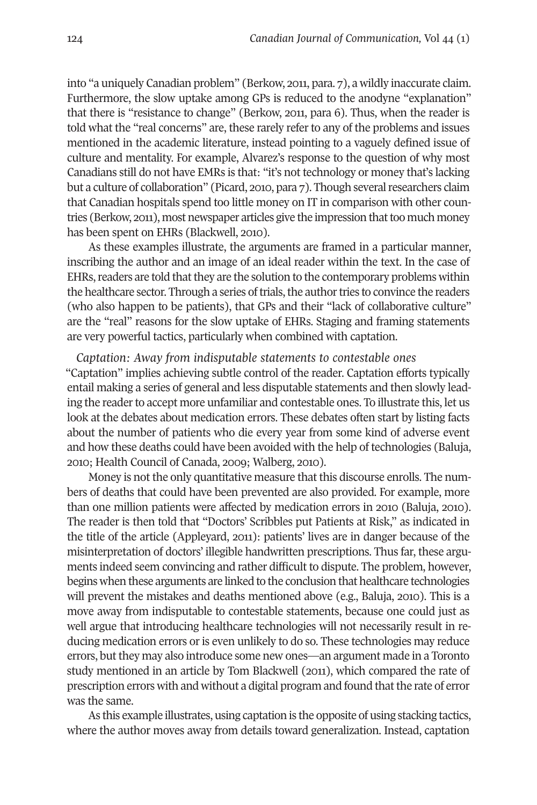into "a uniquely Canadian problem" (Berkow, 2011, para. 7), a wildly inaccurate claim. Furthermore, the slow uptake among GPs is reduced to the anodyne "explanation" that there is "resistance to change" (Berkow, 2011, para 6). Thus, when the reader is told what the "real concerns" are, these rarely refer to any of the problems and issues mentioned in the academic literature, instead pointing to a vaguely defined issue of culture and mentality. For example, Alvarez's response to the question of why most Canadians still do not have EMRs is that: "it's not technology or money that's lacking but a culture of collaboration" (Picard, 2010, para 7). Though several researchers claim that Canadian hospitals spend too little money on IT in comparison with other countries (Berkow, 2011), most newspaper articles give the impression that too much money has been spent on EHRs (Blackwell, 2010).

As these examples illustrate, the arguments are framed in a particular manner, inscribing the author and an image of an ideal reader within the text. In the case of EHRs, readers are told that they are the solution to the contemporary problems within the healthcare sector. Through a series of trials, the author tries to convince the readers (who also happen to be patients), that GPs and their "lack of collaborative culture" are the "real" reasons for the slow uptake of EHRs. Staging and framing statements are very powerful tactics, particularly when combined with captation.

*Captation: Away from indisputable statements to contestable ones* "Captation" implies achieving subtle control of the reader. Captation efforts typically entail making a series of general and less disputable statements and then slowly leading the reader to accept more unfamiliar and contestable ones. To illustrate this, let us look at the debates about medication errors. These debates often start by listing facts about the number of patients who die every year from some kind of adverse event and how these deaths could have been avoided with the help of technologies (Baluja, 2010; Health Council of Canada, 2009; Walberg, 2010).

Money is not the only quantitative measure that this discourse enrolls. The numbers of deaths that could have been prevented are also provided. For example, more than one million patients were affected by medication errors in 2010 (Baluja, 2010). The reader is then told that "Doctors' Scribbles put Patients at Risk," as indicated in the title of the article (Appleyard, 2011): patients' lives are in danger because of the misinterpretation of doctors' illegible handwritten prescriptions. Thus far, these arguments indeed seem convincing and rather difficult to dispute. The problem, however, begins when these arguments are linked to the conclusion that healthcare technologies will prevent the mistakes and deaths mentioned above (e.g., Baluja, 2010). This is a move away from indisputable to contestable statements, because one could just as well argue that introducing healthcare technologies will not necessarily result in reducing medication errors or is even unlikely to do so. These technologies may reduce errors, but they may also introduce some new ones—an argument made in a Toronto study mentioned in an article by Tom Blackwell (2011), which compared the rate of prescription errors with and without a digital program and found that the rate of error was the same.

As this example illustrates, using captation is the opposite of using stacking tactics, where the author moves away from details toward generalization. Instead, captation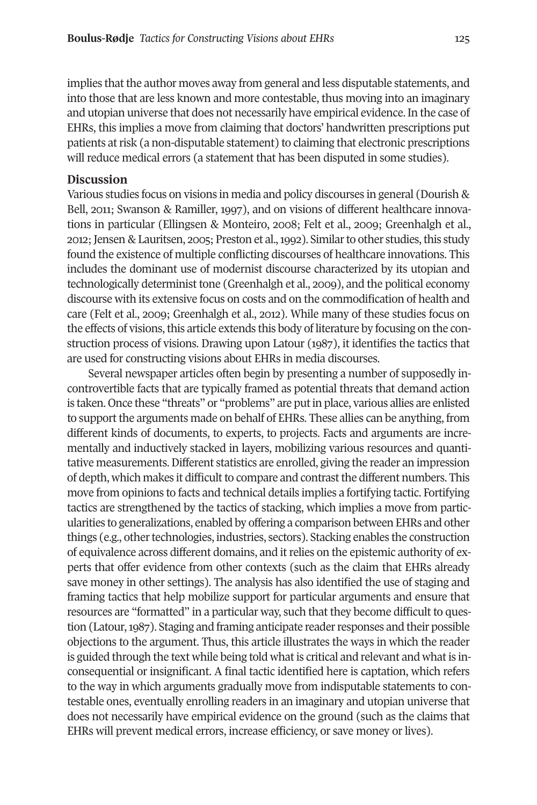implies that the author moves away from general and less disputable statements, and into those that are less known and more contestable, thus moving into an imaginary and utopian universe that does not necessarily have empirical evidence. In the case of EHRs, this implies a move from claiming that doctors' handwritten prescriptions put patients atrisk (a non-disputable statement) to claiming that electronic prescriptions will reduce medical errors (a statement that has been disputed in some studies).

#### **Discussion**

Various studies focus on visions in media and policy discourses in general (Dourish & Bell, 2011; Swanson & Ramiller, 1997), and on visions of different healthcare innovations in particular (Ellingsen & Monteiro, 2008; Felt et al., 2009; Greenhalgh et al., 2012;Jensen & Lauritsen, 2005; Preston et al.,1992). Similarto other studies,this study found the existence of multiple conflicting discourses of healthcare innovations. This includes the dominant use of modernist discourse characterized by its utopian and technologically determinist tone (Greenhalgh et al., 2009), and the political economy discourse with its extensive focus on costs and on the commodification of health and care (Felt et al., 2009; Greenhalgh et al., 2012). While many of these studies focus on the effects of visions, this article extends this body of literature by focusing on the construction process of visions. Drawing upon Latour (1987), it identifies the tactics that are used for constructing visions about EHRs in media discourses.

Several newspaper articles often begin by presenting a number of supposedly incontrovertible facts that are typically framed as potential threats that demand action is taken. Once these "threats" or "problems" are putin place, various allies are enlisted to support the arguments made on behalf of EHRs. These allies can be anything, from different kinds of documents, to experts, to projects. Facts and arguments are incrementally and inductively stacked in layers, mobilizing various resources and quantitative measurements.Different statistics are enrolled, giving the reader an impression of depth, which makes it difficult to compare and contrast the different numbers. This move from opinions to facts and technical details implies a fortifying tactic. Fortifying tactics are strengthened by the tactics of stacking, which implies a move from particularities to generalizations, enabled by offering a comparison between EHRs and other things (e.g., other technologies, industries, sectors). Stacking enables the construction of equivalence across different domains, and itrelies on the epistemic authority of experts that offer evidence from other contexts (such as the claim that EHRs already save money in other settings). The analysis has also identified the use of staging and framing tactics that help mobilize support for particular arguments and ensure that resources are "formatted" in a particular way, such that they become difficult to question (Latour,1987). Staging and framing anticipate readerresponses and their possible objections to the argument. Thus, this article illustrates the ways in which the reader is guided through the text while being told what is critical and relevant and what is inconsequential or insignificant. A final tactic identified here is captation, which refers to the way in which arguments gradually move from indisputable statements to contestable ones, eventually enrolling readers in an imaginary and utopian universe that does not necessarily have empirical evidence on the ground (such as the claims that EHRs will prevent medical errors, increase efficiency, or save money or lives).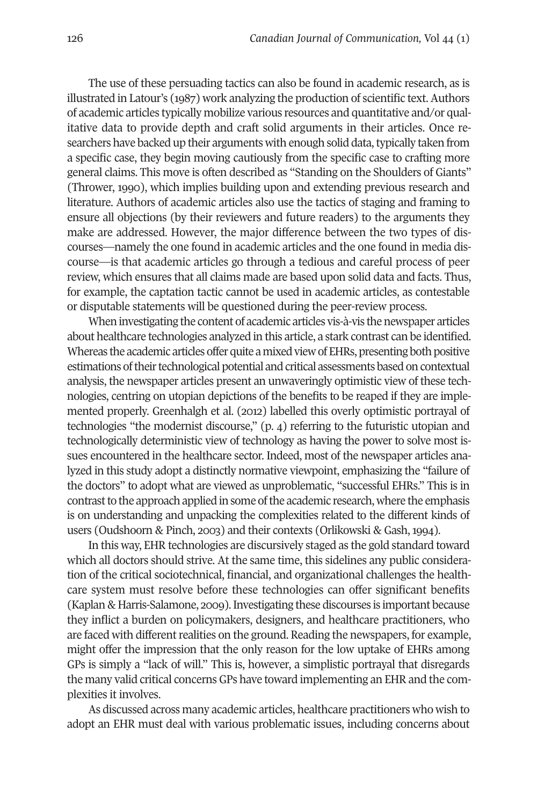The use of these persuading tactics can also be found in academic research, as is illustrated in Latour's (1987) work analyzing the production of scientific text.Authors of academic articles typically mobilize various resources and quantitative and/or qualitative data to provide depth and craft solid arguments in their articles. Once researchers have backed up their arguments with enough solid data, typically taken from a specific case, they begin moving cautiously from the specific case to crafting more general claims. This move is often described as "Standing on the Shoulders of Giants" (Thrower, 1990), which implies building upon and extending previous research and literature. Authors of academic articles also use the tactics of staging and framing to ensure all objections (by their reviewers and future readers) to the arguments they make are addressed. However, the major difference between the two types of discourses—namely the one found in academic articles and the one found in media discourse—is that academic articles go through a tedious and careful process of peer review, which ensures that all claims made are based upon solid data and facts. Thus, for example, the captation tactic cannot be used in academic articles, as contestable or disputable statements will be questioned during the peer-review process.

When investigating the content of academic articles vis-à-vis the newspaper articles about healthcare technologies analyzed in this article, a stark contrast can be identified. Whereas the academic articles offer quite a mixed view of EHRs, presenting both positive estimations of their technological potential and critical assessments based on contextual analysis, the newspaper articles present an unwaveringly optimistic view of these technologies, centring on utopian depictions of the benefits to be reaped if they are implemented properly. Greenhalgh et al. (2012) labelled this overly optimistic portrayal of technologies "the modernist discourse," (p. 4) referring to the futuristic utopian and technologically deterministic view of technology as having the power to solve most issues encountered in the healthcare sector. Indeed, most of the newspaper articles analyzed in this study adopt a distinctly normative viewpoint, emphasizing the "failure of the doctors" to adopt what are viewed as unproblematic, "successful EHRs." This is in contrast to the approach applied in some of the academic research, where the emphasis is on understanding and unpacking the complexities related to the different kinds of users (Oudshoorn & Pinch, 2003) and their contexts (Orlikowski & Gash, 1994).

In this way, EHR technologies are discursively staged as the gold standard toward which all doctors should strive. At the same time, this sidelines any public consideration of the critical sociotechnical, financial, and organizational challenges the healthcare system must resolve before these technologies can offer significant benefits (Kaplan & Harris-Salamone, 2009).Investigating these discourses is important because they inflict a burden on policymakers, designers, and healthcare practitioners, who are faced with different realities on the ground. Reading the newspapers, for example, might offer the impression that the only reason for the low uptake of EHRs among GPs is simply a "lack of will." This is, however, a simplistic portrayal that disregards the many valid critical concerns GPs have toward implementing an EHR and the complexities it involves.

As discussed across many academic articles, healthcare practitioners who wish to adopt an EHR must deal with various problematic issues, including concerns about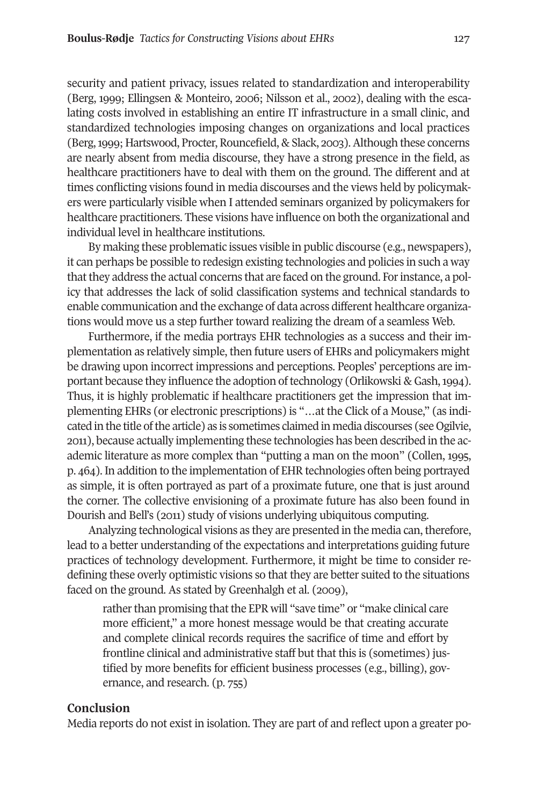security and patient privacy, issues related to standardization and interoperability (Berg, 1999; Ellingsen & Monteiro, 2006; Nilsson et al., 2002), dealing with the escalating costs involved in establishing an entire IT infrastructure in a small clinic, and standardized technologies imposing changes on organizations and local practices (Berg,1999; Hartswood, Procter,Rouncefield, & Slack, 2003).Although these concerns are nearly absent from media discourse, they have a strong presence in the field, as healthcare practitioners have to deal with them on the ground. The different and at times conflicting visions found in media discourses and the views held by policymakers were particularly visible when I attended seminars organized by policymakers for healthcare practitioners. These visions have influence on both the organizational and individual level in healthcare institutions.

By making these problematic issues visible in public discourse (e.g., newspapers), it can perhaps be possible to redesign existing technologies and policies in such a way that they address the actual concerns that are faced on the ground. For instance, a policy that addresses the lack of solid classification systems and technical standards to enable communication and the exchange of data across different healthcare organizations would move us a step further toward realizing the dream of a seamless Web.

Furthermore, if the media portrays EHR technologies as a success and their implementation as relatively simple, then future users of EHRs and policymakers might be drawing upon incorrect impressions and perceptions. Peoples' perceptions are important because they influence the adoption of technology (Orlikowski & Gash, 1994). Thus, it is highly problematic if healthcare practitioners get the impression that implementing EHRs (or electronic prescriptions) is "…at the Click of a Mouse," (as indicated in the title of the article) as is sometimes claimed in media discourses (see Ogilvie, 2011), because actually implementing these technologies has been described in the academic literature as more complex than "putting a man on the moon" (Collen, 1995, p. 464). In addition to the implementation of EHR technologies often being portrayed as simple, it is often portrayed as part of a proximate future, one that is just around the corner. The collective envisioning of a proximate future has also been found in Dourish and Bell's (2011) study of visions underlying ubiquitous computing.

Analyzing technological visions as they are presented in the media can, therefore, lead to a better understanding of the expectations and interpretations guiding future practices of technology development. Furthermore, it might be time to consider redefining these overly optimistic visions so that they are better suited to the situations faced on the ground. As stated by Greenhalgh et al. (2009),

rather than promising that the EPR will "save time" or "make clinical care more efficient," a more honest message would be that creating accurate and complete clinical records requires the sacrifice of time and effort by frontline clinical and administrative staff but that this is (sometimes) justified by more benefits for efficient business processes (e.g., billing), governance, and research. (p. 755)

#### **Conclusion**

Media reports do not exist in isolation. They are part of and reflect upon a greater po-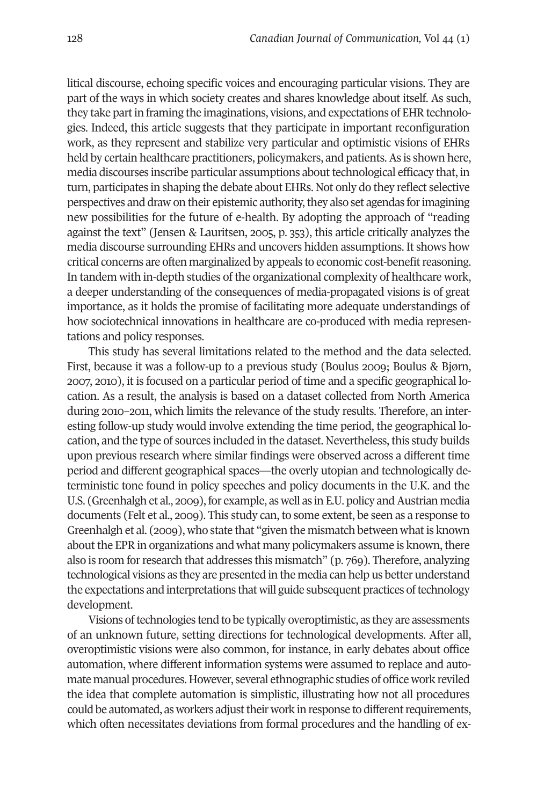litical discourse, echoing specific voices and encouraging particular visions. They are part of the ways in which society creates and shares knowledge about itself. As such, they take partin framing the imaginations, visions, and expectations of EHR technologies. Indeed, this article suggests that they participate in important reconfiguration work, as they represent and stabilize very particular and optimistic visions of EHRs held by certain healthcare practitioners, policymakers, and patients. As is shown here, media discourses inscribe particular assumptions about technological efficacy that, in turn, participates in shaping the debate about EHRs. Not only do they reflect selective perspectives and draw on their epistemic authority,they also set agendas forimagining new possibilities for the future of e-health. By adopting the approach of "reading against the text" (Jensen & Lauritsen, 2005, p. 353), this article critically analyzes the media discourse surrounding EHRs and uncovers hidden assumptions. It shows how critical concerns are often marginalized by appeals to economic cost-benefitreasoning. In tandem with in-depth studies of the organizational complexity of healthcare work, a deeper understanding of the consequences of media-propagated visions is of great importance, as it holds the promise of facilitating more adequate understandings of how sociotechnical innovations in healthcare are co-produced with media representations and policy responses.

This study has several limitations related to the method and the data selected. First, because it was a follow-up to a previous study (Boulus 2009; Boulus & Bjørn, 2007, 2010), it is focused on a particular period of time and a specific geographical location. As a result, the analysis is based on a dataset collected from North America during 2010–2011, which limits the relevance of the study results. Therefore, an interesting follow-up study would involve extending the time period, the geographical location, and the type of sources included in the dataset. Nevertheless, this study builds upon previous research where similar findings were observed across a different time period and different geographical spaces—the overly utopian and technologically deterministic tone found in policy speeches and policy documents in the U.K. and the U.S. (Greenhalgh et al., 2009), for example, as well as in E.U. policy and Austrian media documents (Felt et al., 2009). This study can, to some extent, be seen as a response to Greenhalgh et al. (2009), who state that "given the mismatch between what is known about the EPR in organizations and what many policymakers assume is known, there also is room for research that addresses this mismatch" (p. 769). Therefore, analyzing technological visions as they are presented in the media can help us better understand the expectations and interpretations that will guide subsequent practices of technology development.

Visions of technologies tend to be typically overoptimistic, as they are assessments of an unknown future, setting directions for technological developments. After all, overoptimistic visions were also common, for instance, in early debates about office automation, where different information systems were assumed to replace and automate manual procedures. However, several ethnographic studies of office work reviled the idea that complete automation is simplistic, illustrating how not all procedures could be automated, as workers adjust their work in response to different requirements, which often necessitates deviations from formal procedures and the handling of ex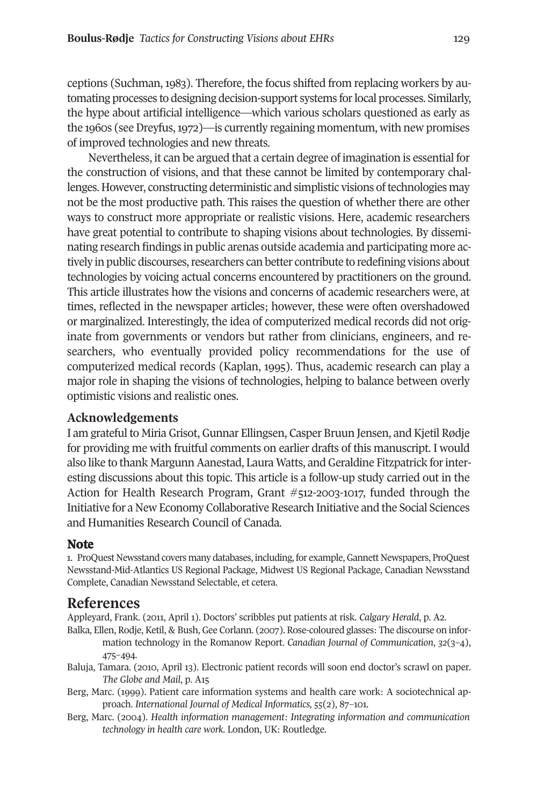ceptions (Suchman, 1983). Therefore, the focus shifted from replacing workers by automating processes to designing decision-support systems forlocal processes. Similarly, the hype about artificial intelligence—which various scholars questioned as early as the 1960s (seeDreyfus,1972)—is currently regaining momentum, with new promises of improved technologies and new threats.

Nevertheless, it can be argued that a certain degree of imagination is essential for the construction of visions, and that these cannot be limited by contemporary challenges. However, constructing deterministic and simplistic visions oftechnologies may not be the most productive path. This raises the question of whether there are other ways to construct more appropriate or realistic visions. Here, academic researchers have great potential to contribute to shaping visions about technologies. By disseminating research findings in public arenas outside academia and participating more actively in public discourses, researchers can better contribute to redefining visions about technologies by voicing actual concerns encountered by practitioners on the ground. This article illustrates how the visions and concerns of academic researchers were, at times, reflected in the newspaper articles; however, these were often overshadowed or marginalized. Interestingly, the idea of computerized medical records did not originate from governments or vendors but rather from clinicians, engineers, and researchers, who eventually provided policy recommendations for the use of computerized medical records (Kaplan, 1995). Thus, academic research can play a major role in shaping the visions of technologies, helping to balance between overly optimistic visions and realistic ones.

## **Acknowledgements**

I am grateful to Miria Grisot, Gunnar Ellingsen, Casper Bruun Jensen, and Kjetil Rødje for providing me with fruitful comments on earlier drafts of this manuscript. I would also like to thank Margunn Aanestad, Laura Watts, and Geraldine Fitzpatrick for interesting discussions about this topic. This article is a follow-up study carried out in the Action for Health Research Program, Grant #512-2003-1017, funded through the Initiative for a New Economy Collaborative Research Initiative and the Social Sciences and Humanities Research Council of Canada.

## <span id="page-18-0"></span>**Note**

1. ProQuest Newsstand covers many databases, including,for example,Gannett Newspapers, ProQuest Newsstand-Mid-Atlantics US Regional Package, Midwest US Regional Package, Canadian Newsstand Complete, Canadian Newsstand Selectable, et cetera.

# **References**

Appleyard, Frank. (2011, April 1). Doctors' scribbles put patients at risk. *Calgary Herald*, p. A2.

- Balka, Ellen, Rodje, Ketil, & Bush, Gee Corlann. (2007). Rose-coloured glasses: The discourse on information technology in the Romanow Report. *Canadian Journal of Communication*, *32*(3–4), 475–494.
- Baluja, Tamara. (2010, April 13). Electronic patient records will soon end doctor's scrawl on paper. *The Globe and Mail*, p. A15
- Berg, Marc. (1999). Patient care information systems and health care work: A sociotechnical approach. *International Journal of Medical Informatics, 55*(2), 87–101.
- Berg, Marc. (2004). *Health information management: Integrating information and communication technology in health care work.* London, UK: Routledge.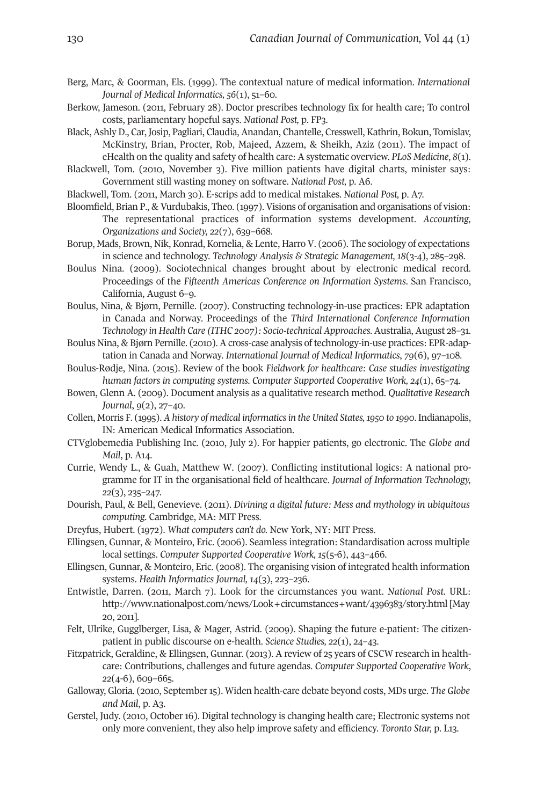- Berg, Marc, & Goorman, Els. (1999). The contextual nature of medical information. *International Journal of Medical Informatics, 56*(1), 51–60.
- Berkow, Jameson. (2011, February 28). Doctor prescribes technology fix for health care; To control costs, parliamentary hopeful says. *National Post,* p. FP3.
- Black, Ashly D., Car, Josip, Pagliari, Claudia, Anandan, Chantelle, Cresswell, Kathrin, Bokun, Tomislav, McKinstry, Brian, Procter, Rob, Majeed, Azzem, & Sheikh, Aziz (2011). The impact of eHealth on the quality and safety of health care: A systematic overview. *PLoS Medicine*, *8*(1).
- Blackwell, Tom. (2010, November 3). Five million patients have digital charts, minister says: Government still wasting money on software. *National Post,* p. A6.
- Blackwell, Tom. (2011, March 30). E-scrips add to medical mistakes*. National Post,* p. A7.
- Bloomfield, Brian P., & Vurdubakis, Theo. (1997). Visions of organisation and organisations of vision: The representational practices of information systems development. *Accounting, Organizations and Society, 22*(7), 639–668.
- Borup, Mads, Brown, Nik, Konrad, Kornelia, & Lente, Harro V. (2006). The sociology of expectations in science and technology. *Technology Analysis & Strategic Management, 18*(3-4), 285–298.
- Boulus Nina. (2009). Sociotechnical changes brought about by electronic medical record. Proceedings of the *Fifteenth Americas Conference on Information Systems*. San Francisco, California, August 6–9.
- Boulus, Nina, & Bjørn, Pernille. (2007). Constructing technology-in-use practices: EPR adaptation in Canada and Norway. Proceedings of the *Third International Conference Information Technology in Health Care (ITHC 2007): Socio-technical Approaches.* Australia, August 28–31.
- Boulus Nina, & Bjørn Pernille. (2010). A cross-case analysis of technology-in-use practices: EPR-adaptation in Canada and Norway. *International Journal of Medical Informatics*, *79*(6), 97–108.
- Boulus-Rødje, Nina. (2015). Review of the book *Fieldwork for healthcare: Case studies investigating human factors in computing systems. Computer Supported Cooperative Work, 24*(1), 65–74.
- Bowen, Glenn A. (2009). Document analysis as a qualitative research method. *Qualitative Research Journal*, *9*(2), 27–40.
- Collen, Morris F. (1995). *A history of medical informaticsin the United States,1950 to 1990*. Indianapolis, IN: American Medical Informatics Association.
- CTVglobemedia Publishing Inc. (2010, July 2). For happier patients, go electronic. The *Globe and Mail*, p. A14.
- Currie, Wendy L., & Guah, Matthew W. (2007). Conflicting institutional logics: A national programme for IT in the organisational field of healthcare. *Journal of Information Technology, 22*(3), 235–247.
- Dourish, Paul, & Bell, Genevieve. (2011). *Divining a digital future: Mess and mythology in ubiquitous computing.* Cambridge, MA: MIT Press.
- Dreyfus, Hubert. (1972). *What computers can't do.* New York, NY: MIT Press.
- Ellingsen, Gunnar, & Monteiro, Eric. (2006). Seamless integration: Standardisation across multiple local settings. *Computer Supported Cooperative Work, 15*(5-6), 443–466.
- Ellingsen, Gunnar, & Monteiro, Eric. (2008). The organising vision of integrated health information systems. *Health Informatics Journal, 14*(3), 223–236.
- Entwistle, Darren. (2011, March 7). Look for the circumstances you want. *National Post*. URL: <http://www.nationalpost.com/news/Look+circumstances+want/4396383/story.html> [May 20, 2011].
- Felt, Ulrike, Gugglberger, Lisa, & Mager, Astrid. (2009). Shaping the future e-patient: The citizenpatient in public discourse on e-health. *Science Studies, 22*(1), 24–43.
- Fitzpatrick, Geraldine, & Ellingsen, Gunnar. (2013). A review of 25 years of CSCW research in healthcare: Contributions, challenges and future agendas. *Computer Supported Cooperative Work*, *22*(4-6), 609–665.
- Galloway, Gloria. (2010, September15). Widen health-care debate beyond costs, MDs urge. *The Globe and Mail*, p. A3.
- Gerstel, Judy. (2010, October 16). Digital technology is changing health care; Electronic systems not only more convenient, they also help improve safety and efficiency. *Toronto Star,* p. L13.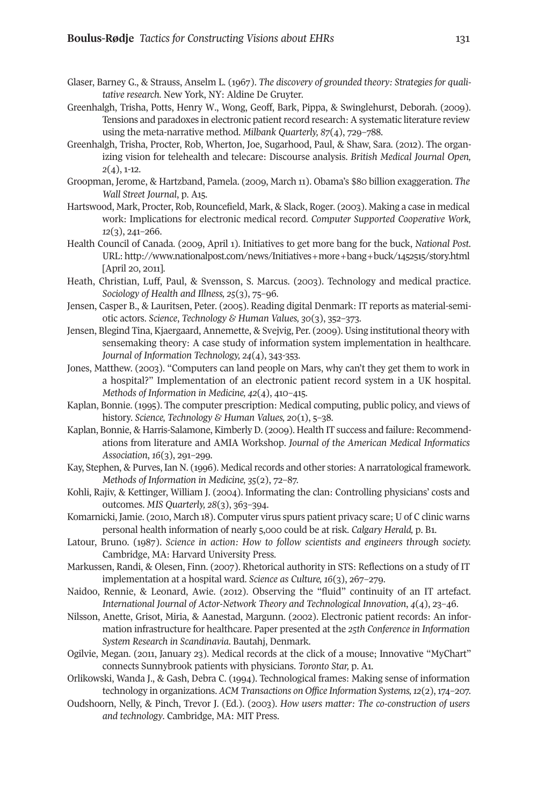- Glaser, Barney G., & Strauss, Anselm L. (1967). *The discovery of grounded theory: Strategies for qualitative research.* New York, NY: Aldine De Gruyter.
- Greenhalgh, Trisha, Potts, Henry W., Wong, Geoff, Bark, Pippa, & Swinglehurst, Deborah. (2009). Tensions and paradoxes in electronic patient record research: A systematic literature review using the meta-narrative method. *Milbank Quarterly, 87*(4), 729–788.
- Greenhalgh, Trisha, Procter, Rob, Wherton, Joe, Sugarhood, Paul, & Shaw, Sara. (2012). The organizing vision for telehealth and telecare: Discourse analysis. *British Medical Journal Open, 2*(4), 1-12.
- Groopman, Jerome, & Hartzband, Pamela. (2009, March 11). Obama's \$80 billion exaggeration. *The Wall Street Journal*, p. A15.
- Hartswood, Mark, Procter, Rob, Rouncefield, Mark, & Slack, Roger. (2003). Making a case in medical work: Implications for electronic medical record. *Computer Supported Cooperative Work, 12*(3), 241–266.
- Health Council of Canada. (2009, April 1). Initiatives to get more bang for the buck, *National Post*. URL: [http://www.nationalpost.com/news/Initiatives+more+bang+buck/1452515/story.html](http://www.nationalpost.com/ news/Initiatives+more+bang+buck/1452515/story.html) [April 20, 2011].
- Heath, Christian, Luff, Paul, & Svensson, S. Marcus. (2003). Technology and medical practice. *Sociology of Health and Illness, 25*(3), 75–96.
- Jensen, Casper B., & Lauritsen, Peter. (2005). Reading digital Denmark: IT reports as material-semiotic actors. *Science*, *Technology & Human Values, 30*(3), 352–373.
- Jensen, Blegind Tina, Kjaergaard, Annemette, & Svejvig, Per. (2009). Using institutional theory with sensemaking theory: A case study of information system implementation in healthcare. *Journal of Information Technology, 24*(4), 343-353.
- Jones, Matthew. (2003). "Computers can land people on Mars, why can't they get them to work in a hospital?" Implementation of an electronic patient record system in a UK hospital. *Methods of Information in Medicine, 42*(4), 410–415.
- Kaplan, Bonnie. (1995). The computer prescription: Medical computing, public policy, and views of history. *Science, Technology & Human Values, 20*(1), 5–38.
- Kaplan, Bonnie, & Harris-Salamone, Kimberly D. (2009). Health IT success and failure: Recommendations from literature and AMIA Workshop. *Journal of the American Medical Informatics Association*, *16*(3), 291–299.
- Kay, Stephen, & Purves, Ian N. (1996). Medical records and other stories: A narratological framework. *Methods of Information in Medicine, 35*(2), 72–87.
- Kohli, Rajiv, & Kettinger, William J. (2004). Informating the clan: Controlling physicians' costs and outcomes. *MIS Quarterly, 28*(3), 363–394.
- Komarnicki, Jamie. (2010, March 18). Computer virus spurs patient privacy scare; U of C clinic warns personal health information of nearly 5,000 could be at risk. *Calgary Herald,* p. B1.
- Latour, Bruno. (1987). *Science in action: How to follow scientists and engineers through society.* Cambridge, MA: Harvard University Press.
- Markussen, Randi, & Olesen, Finn. (2007). Rhetorical authority in STS: Reflections on a study of IT implementation at a hospital ward. *Science as Culture, 16*(3), 267–279.
- Naidoo, Rennie, & Leonard, Awie. (2012). Observing the "fluid" continuity of an IT artefact. *International Journal of Actor-Network Theory and Technological Innovation*, *4*(4), 23–46.
- Nilsson, Anette, Grisot, Miria, & Aanestad, Margunn. (2002). Electronic patient records: An information infrastructure for healthcare. Paper presented at the *25th Conference in Information System Research in Scandinavia*. Bautahj, Denmark.
- Ogilvie, Megan. (2011, January 23). Medical records at the click of a mouse; Innovative "MyChart" connects Sunnybrook patients with physicians. *Toronto Star,* p. A1.
- Orlikowski, Wanda J., & Gash, Debra C. (1994). Technological frames: Making sense of information technology in organizations. *ACM Transactions on Office Information Systems,12*(2),174–207.
- Oudshoorn, Nelly, & Pinch, Trevor J. (Ed.). (2003). *How users matter: The co-construction of users and technology*. Cambridge, MA: MIT Press.